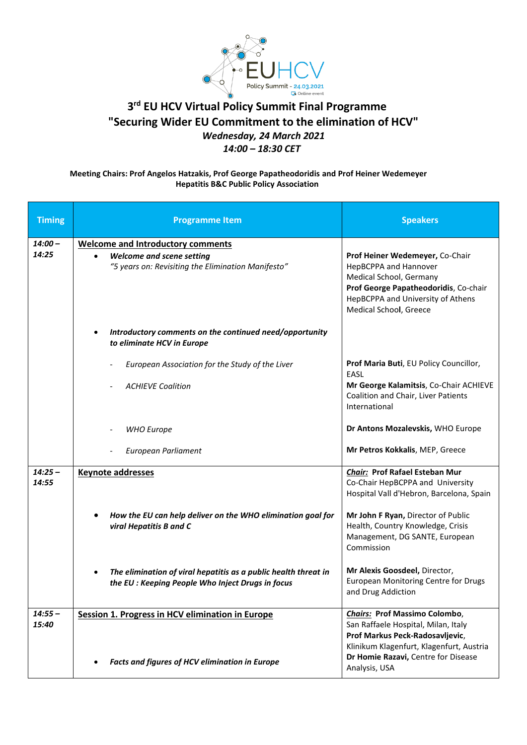

## **3 rd EU HCV Virtual Policy Summit Final Programme "Securing Wider EU Commitment to the elimination of HCV"** *Wednesday, 24 March 2021 14:00 – 18:30 CET*

## **Meeting Chairs: Prof Angelos Hatzakis, Prof George Papatheodoridis and Prof Heiner Wedemeyer Hepatitis B&C Public Policy Association**

| <b>Timing</b>      | <b>Programme Item</b>                                                                                                | <b>Speakers</b>                                                                                                                                                                             |
|--------------------|----------------------------------------------------------------------------------------------------------------------|---------------------------------------------------------------------------------------------------------------------------------------------------------------------------------------------|
| $14:00 -$          | <b>Welcome and Introductory comments</b>                                                                             |                                                                                                                                                                                             |
| 14:25              | <b>Welcome and scene setting</b><br>$\bullet$<br>"5 years on: Revisiting the Elimination Manifesto"                  | Prof Heiner Wedemeyer, Co-Chair<br>HepBCPPA and Hannover<br>Medical School, Germany<br>Prof George Papatheodoridis, Co-chair<br>HepBCPPA and University of Athens<br>Medical School, Greece |
|                    | Introductory comments on the continued need/opportunity<br>to eliminate HCV in Europe                                |                                                                                                                                                                                             |
|                    | European Association for the Study of the Liver                                                                      | Prof Maria Buti, EU Policy Councillor,<br>EASL                                                                                                                                              |
|                    | <b>ACHIEVE Coalition</b>                                                                                             | Mr George Kalamitsis, Co-Chair ACHIEVE<br>Coalition and Chair, Liver Patients<br>International                                                                                              |
|                    | <b>WHO Europe</b>                                                                                                    | Dr Antons Mozalevskis, WHO Europe                                                                                                                                                           |
|                    | European Parliament                                                                                                  | Mr Petros Kokkalis, MEP, Greece                                                                                                                                                             |
| $14:25 -$<br>14:55 | <b>Keynote addresses</b>                                                                                             | <b>Chair:</b> Prof Rafael Esteban Mur<br>Co-Chair HepBCPPA and University<br>Hospital Vall d'Hebron, Barcelona, Spain                                                                       |
|                    | How the EU can help deliver on the WHO elimination goal for<br>viral Hepatitis B and C                               | Mr John F Ryan, Director of Public<br>Health, Country Knowledge, Crisis<br>Management, DG SANTE, European<br>Commission                                                                     |
|                    | The elimination of viral hepatitis as a public health threat in<br>the EU : Keeping People Who Inject Drugs in focus | Mr Alexis Goosdeel, Director,<br><b>European Monitoring Centre for Drugs</b><br>and Drug Addiction                                                                                          |
| $14:55 -$<br>15:40 | Session 1. Progress in HCV elimination in Europe                                                                     | <b>Chairs: Prof Massimo Colombo,</b><br>San Raffaele Hospital, Milan, Italy<br>Prof Markus Peck-Radosavljevic,<br>Klinikum Klagenfurt, Klagenfurt, Austria                                  |
|                    | Facts and figures of HCV elimination in Europe                                                                       | Dr Homie Razavi, Centre for Disease<br>Analysis, USA                                                                                                                                        |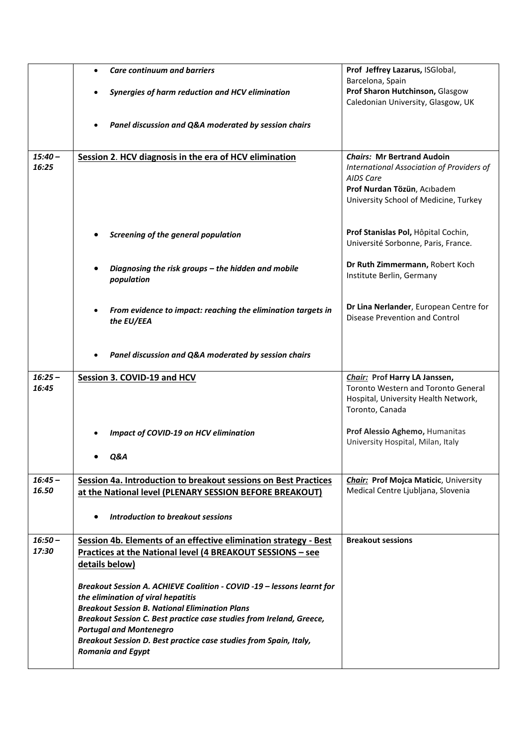|                    | <b>Care continuum and barriers</b><br>$\bullet$                        | Prof Jeffrey Lazarus, ISGlobal,                                                    |
|--------------------|------------------------------------------------------------------------|------------------------------------------------------------------------------------|
|                    |                                                                        | Barcelona, Spain                                                                   |
|                    | Synergies of harm reduction and HCV elimination                        | Prof Sharon Hutchinson, Glasgow                                                    |
|                    |                                                                        | Caledonian University, Glasgow, UK                                                 |
|                    |                                                                        |                                                                                    |
|                    | Panel discussion and Q&A moderated by session chairs                   |                                                                                    |
|                    |                                                                        |                                                                                    |
| $15:40 -$          | Session 2. HCV diagnosis in the era of HCV elimination                 | <b>Chairs: Mr Bertrand Audoin</b>                                                  |
| 16:25              |                                                                        | International Association of Providers of                                          |
|                    |                                                                        | <b>AIDS Care</b>                                                                   |
|                    |                                                                        | Prof Nurdan Tözün, Acıbadem                                                        |
|                    |                                                                        | University School of Medicine, Turkey                                              |
|                    |                                                                        |                                                                                    |
|                    | Screening of the general population                                    | Prof Stanislas Pol, Hôpital Cochin,                                                |
|                    |                                                                        | Université Sorbonne, Paris, France.                                                |
|                    |                                                                        |                                                                                    |
|                    | Diagnosing the risk groups - the hidden and mobile                     | Dr Ruth Zimmermann, Robert Koch                                                    |
|                    | population                                                             | Institute Berlin, Germany                                                          |
|                    |                                                                        |                                                                                    |
|                    | From evidence to impact: reaching the elimination targets in           | Dr Lina Nerlander, European Centre for                                             |
|                    | the EU/EEA                                                             | <b>Disease Prevention and Control</b>                                              |
|                    |                                                                        |                                                                                    |
|                    |                                                                        |                                                                                    |
|                    | Panel discussion and Q&A moderated by session chairs                   |                                                                                    |
|                    |                                                                        |                                                                                    |
| $16:25 -$          | Session 3. COVID-19 and HCV                                            | Chair: Prof Harry LA Janssen,                                                      |
| 16:45              |                                                                        | <b>Toronto Western and Toronto General</b><br>Hospital, University Health Network, |
|                    |                                                                        | Toronto, Canada                                                                    |
|                    |                                                                        |                                                                                    |
|                    | <b>Impact of COVID-19 on HCV elimination</b>                           | Prof Alessio Aghemo, Humanitas                                                     |
|                    |                                                                        | University Hospital, Milan, Italy                                                  |
|                    | Q&A                                                                    |                                                                                    |
|                    |                                                                        |                                                                                    |
| $16:45 -$          | Session 4a. Introduction to breakout sessions on Best Practices        | <b>Chair: Prof Mojca Maticic, University</b>                                       |
| 16.50              | at the National level (PLENARY SESSION BEFORE BREAKOUT)                | Medical Centre Ljubljana, Slovenia                                                 |
|                    |                                                                        |                                                                                    |
|                    | Introduction to breakout sessions<br>٠                                 |                                                                                    |
|                    |                                                                        |                                                                                    |
| $16:50 -$<br>17:30 | Session 4b. Elements of an effective elimination strategy - Best       | <b>Breakout sessions</b>                                                           |
|                    | <b>Practices at the National level (4 BREAKOUT SESSIONS - see</b>      |                                                                                    |
|                    | details below)                                                         |                                                                                    |
|                    | Breakout Session A. ACHIEVE Coalition - COVID -19 - lessons learnt for |                                                                                    |
|                    | the elimination of viral hepatitis                                     |                                                                                    |
|                    | <b>Breakout Session B. National Elimination Plans</b>                  |                                                                                    |
|                    | Breakout Session C. Best practice case studies from Ireland, Greece,   |                                                                                    |
|                    | <b>Portugal and Montenegro</b>                                         |                                                                                    |
|                    | Breakout Session D. Best practice case studies from Spain, Italy,      |                                                                                    |
|                    | <b>Romania and Egypt</b>                                               |                                                                                    |
|                    |                                                                        |                                                                                    |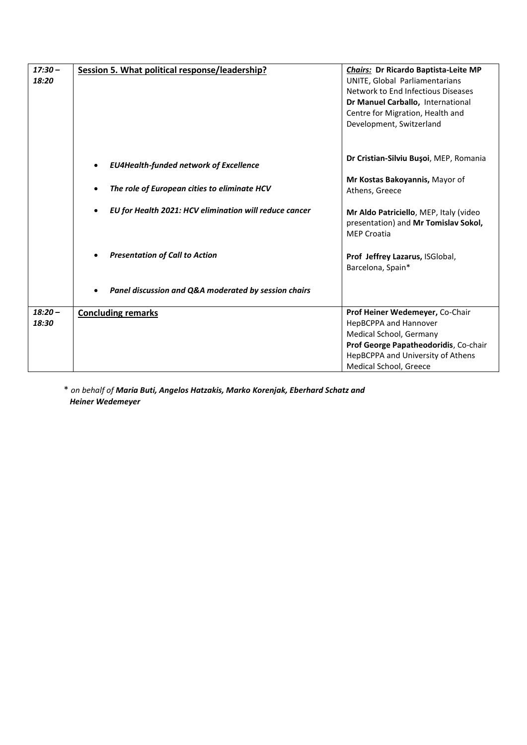| $17:30 -$<br>18:20 | Session 5. What political response/leadership?         | Chairs: Dr Ricardo Baptista-Leite MP<br>UNITE, Global Parliamentarians<br>Network to End Infectious Diseases<br>Dr Manuel Carballo, International<br>Centre for Migration, Health and<br>Development, Switzerland |
|--------------------|--------------------------------------------------------|-------------------------------------------------------------------------------------------------------------------------------------------------------------------------------------------------------------------|
|                    | <b>EU4Health-funded network of Excellence</b>          | Dr Cristian-Silviu Bușoi, MEP, Romania                                                                                                                                                                            |
|                    | The role of European cities to eliminate HCV           | Mr Kostas Bakoyannis, Mayor of<br>Athens, Greece                                                                                                                                                                  |
|                    | EU for Health 2021: HCV elimination will reduce cancer | Mr Aldo Patriciello, MEP, Italy (video<br>presentation) and Mr Tomislav Sokol,<br><b>MEP Croatia</b>                                                                                                              |
|                    | <b>Presentation of Call to Action</b>                  | Prof Jeffrey Lazarus, ISGlobal,<br>Barcelona, Spain*                                                                                                                                                              |
|                    | Panel discussion and Q&A moderated by session chairs   |                                                                                                                                                                                                                   |
| $18:20 -$<br>18:30 | <b>Concluding remarks</b>                              | Prof Heiner Wedemeyer, Co-Chair<br>HepBCPPA and Hannover<br>Medical School, Germany<br>Prof George Papatheodoridis, Co-chair<br>HepBCPPA and University of Athens<br>Medical School, Greece                       |

\* *on behalf of Maria Buti, Angelos Hatzakis, Marko Korenjak, Eberhard Schatz and Heiner Wedemeyer*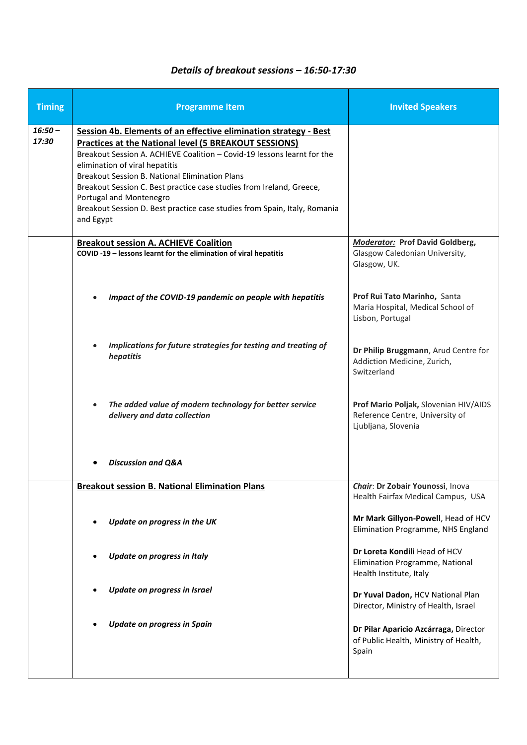## *Details of breakout sessions – 16:50-17:30*

| <b>Timing</b>      | <b>Programme Item</b>                                                                                                                                                                                                                                                                                                                                                                                                                                                                               | <b>Invited Speakers</b>                                                                         |
|--------------------|-----------------------------------------------------------------------------------------------------------------------------------------------------------------------------------------------------------------------------------------------------------------------------------------------------------------------------------------------------------------------------------------------------------------------------------------------------------------------------------------------------|-------------------------------------------------------------------------------------------------|
| $16:50 -$<br>17:30 | Session 4b. Elements of an effective elimination strategy - Best<br><b>Practices at the National level (5 BREAKOUT SESSIONS)</b><br>Breakout Session A. ACHIEVE Coalition - Covid-19 lessons learnt for the<br>elimination of viral hepatitis<br><b>Breakout Session B. National Elimination Plans</b><br>Breakout Session C. Best practice case studies from Ireland, Greece,<br>Portugal and Montenegro<br>Breakout Session D. Best practice case studies from Spain, Italy, Romania<br>and Egypt |                                                                                                 |
|                    | <b>Breakout session A. ACHIEVE Coalition</b><br>COVID-19 - lessons learnt for the elimination of viral hepatitis                                                                                                                                                                                                                                                                                                                                                                                    | <b>Moderator:</b> Prof David Goldberg,<br>Glasgow Caledonian University,<br>Glasgow, UK.        |
|                    | Impact of the COVID-19 pandemic on people with hepatitis                                                                                                                                                                                                                                                                                                                                                                                                                                            | Prof Rui Tato Marinho, Santa<br>Maria Hospital, Medical School of<br>Lisbon, Portugal           |
|                    | Implications for future strategies for testing and treating of<br>hepatitis                                                                                                                                                                                                                                                                                                                                                                                                                         | Dr Philip Bruggmann, Arud Centre for<br>Addiction Medicine, Zurich,<br>Switzerland              |
|                    | The added value of modern technology for better service<br>delivery and data collection                                                                                                                                                                                                                                                                                                                                                                                                             | Prof Mario Poljak, Slovenian HIV/AIDS<br>Reference Centre, University of<br>Ljubljana, Slovenia |
|                    | <b>Discussion and Q&amp;A</b>                                                                                                                                                                                                                                                                                                                                                                                                                                                                       |                                                                                                 |
|                    | <b>Breakout session B. National Elimination Plans</b>                                                                                                                                                                                                                                                                                                                                                                                                                                               | Chair: Dr Zobair Younossi, Inova<br>Health Fairfax Medical Campus, USA                          |
|                    | Update on progress in the UK                                                                                                                                                                                                                                                                                                                                                                                                                                                                        | Mr Mark Gillyon-Powell, Head of HCV<br>Elimination Programme, NHS England                       |
|                    | <b>Update on progress in Italy</b>                                                                                                                                                                                                                                                                                                                                                                                                                                                                  | Dr Loreta Kondili Head of HCV<br>Elimination Programme, National<br>Health Institute, Italy     |
|                    | <b>Update on progress in Israel</b>                                                                                                                                                                                                                                                                                                                                                                                                                                                                 | Dr Yuval Dadon, HCV National Plan<br>Director, Ministry of Health, Israel                       |
|                    | <b>Update on progress in Spain</b>                                                                                                                                                                                                                                                                                                                                                                                                                                                                  | Dr Pilar Aparicio Azcárraga, Director<br>of Public Health, Ministry of Health,<br>Spain         |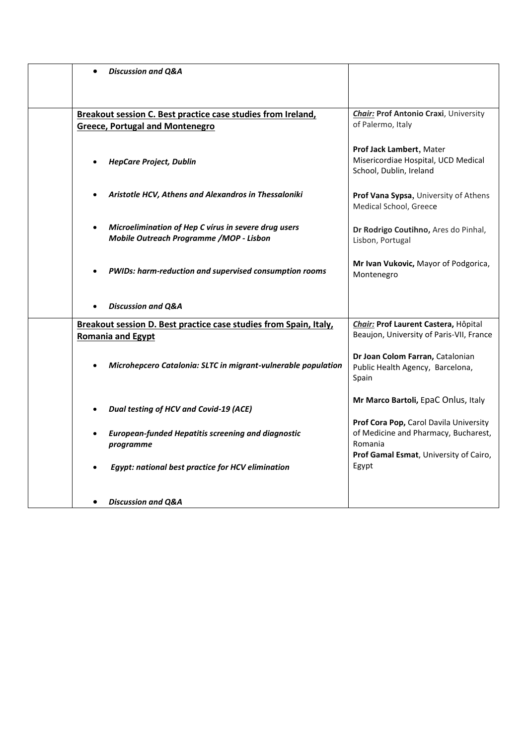| <b>Discussion and Q&amp;A</b><br>$\bullet$                                                                   |                                                                                                                                     |
|--------------------------------------------------------------------------------------------------------------|-------------------------------------------------------------------------------------------------------------------------------------|
|                                                                                                              |                                                                                                                                     |
| Breakout session C. Best practice case studies from Ireland,<br><b>Greece, Portugal and Montenegro</b>       | <b>Chair: Prof Antonio Craxi</b> , University<br>of Palermo, Italy                                                                  |
| <b>HepCare Project, Dublin</b>                                                                               | Prof Jack Lambert, Mater<br>Misericordiae Hospital, UCD Medical<br>School, Dublin, Ireland                                          |
| Aristotle HCV, Athens and Alexandros in Thessaloniki                                                         | Prof Vana Sypsa, University of Athens<br>Medical School, Greece                                                                     |
| Microelimination of Hep C vírus in severe drug users<br>$\bullet$<br>Mobile Outreach Programme /MOP - Lisbon | Dr Rodrigo Coutihno, Ares do Pinhal,<br>Lisbon, Portugal                                                                            |
| PWIDs: harm-reduction and supervised consumption rooms                                                       | Mr Ivan Vukovic, Mayor of Podgorica,<br>Montenegro                                                                                  |
| <b>Discussion and Q&amp;A</b>                                                                                |                                                                                                                                     |
| Breakout session D. Best practice case studies from Spain, Italy,<br><b>Romania and Egypt</b>                | Chair: Prof Laurent Castera, Hôpital<br>Beaujon, University of Paris-VII, France                                                    |
| Microhepcero Catalonia: SLTC in migrant-vulnerable population                                                | Dr Joan Colom Farran, Catalonian<br>Public Health Agency, Barcelona,<br>Spain                                                       |
| Dual testing of HCV and Covid-19 (ACE)                                                                       | Mr Marco Bartoli, EpaC Onlus, Italy                                                                                                 |
| <b>European-funded Hepatitis screening and diagnostic</b><br>$\bullet$<br>programme                          | Prof Cora Pop, Carol Davila University<br>of Medicine and Pharmacy, Bucharest,<br>Romania<br>Prof Gamal Esmat, University of Cairo, |
| Egypt: national best practice for HCV elimination                                                            | Egypt                                                                                                                               |
| <b>Discussion and Q&amp;A</b>                                                                                |                                                                                                                                     |